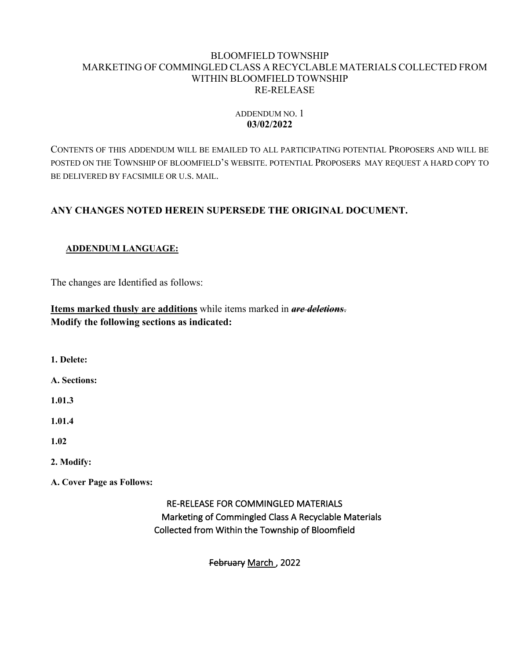### BLOOMFIELD TOWNSHIP MARKETING OF COMMINGLED CLASS A RECYCLABLE MATERIALS COLLECTED FROM WITHIN BLOOMFIELD TOWNSHIP RE-RELEASE

## ADDENDUM NO. 1 **03/02/2022**

CONTENTS OF THIS ADDENDUM WILL BE EMAILED TO ALL PARTICIPATING POTENTIAL PROPOSERS AND WILL BE POSTED ON THE TOWNSHIP OF BLOOMFIELD'S WEBSITE. POTENTIAL PROPOSERS MAY REQUEST A HARD COPY TO BE DELIVERED BY FACSIMILE OR U.S. MAIL.

# **ANY CHANGES NOTED HEREIN SUPERSEDE THE ORIGINAL DOCUMENT.**

## **ADDENDUM LANGUAGE:**

The changes are Identified as follows:

**Items marked thusly are additions** while items marked in *are deletions*. **Modify the following sections as indicated:**

**1. Delete:**

**A. Sections:**

**1.01.3**

**1.01.4**

**1.02**

### **2. Modify:**

**A. Cover Page as Follows:**

RE-RELEASE FOR COMMINGLED MATERIALS Marketing of Commingled Class A Recyclable Materials Collected from Within the Township of Bloomfield

February March , 2022